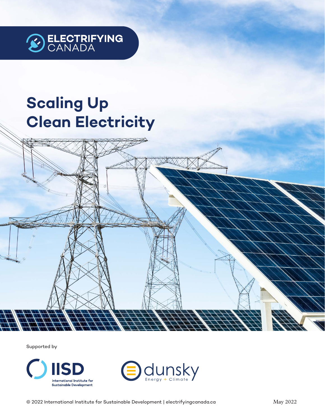

# **Scaling Up Clean Electricity**

Supported by



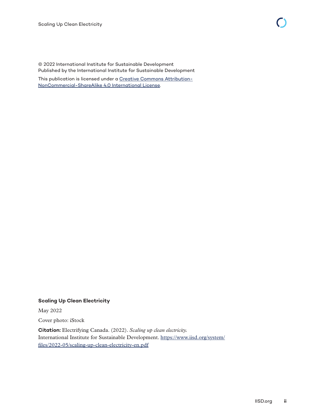© 2022 International Institute for Sustainable Development Published by the International Institute for Sustainable Development This publication is licensed under a [Creative Commons Attribution-](https://creativecommons.org/licenses/by-nc-sa/4.0/)

[NonCommercial-ShareAlike 4.0 International License](https://creativecommons.org/licenses/by-nc-sa/4.0/).

#### **Scaling Up Clean Electricity**

May 2022

Cover photo: iStock

**Citation:** Electrifying Canada. (2022). *Scaling up clean electricity.* International Institute for Sustainable Development. [https://www.iisd.org/system/](https://www.iisd.org/system/files/2022-05/scaling-up-clean-electricity-en.pdf) [files/2022-05/scaling-up-clean-electricity-en.pdf](https://www.iisd.org/system/files/2022-05/scaling-up-clean-electricity-en.pdf)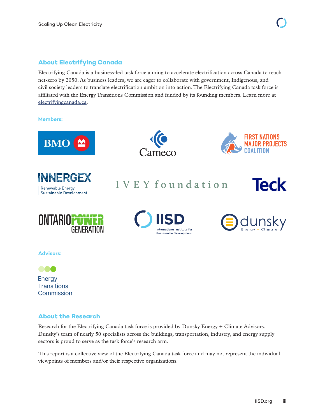#### **About Electrifying Canada**

Electrifying Canada is a business-led task force aiming to accelerate electrification across Canada to reach net-zero by 2050. As business leaders, we are eager to collaborate with government, Indigenous, and civil society leaders to translate electrification ambition into action. The Electrifying Canada task force is affiliated with the Energy Transitions Commission and funded by its founding members. Learn more at [electrifyingcanada.ca](http://electrifyingcanada.ca).

**Members:**











IVEY foundation







**Advisors:**

000 Energy **Transitions** Commission

#### **About the Research**

Research for the Electrifying Canada task force is provided by Dunsky Energy + Climate Advisors. Dunsky's team of nearly 50 specialists across the buildings, transportation, industry, and energy supply sectors is proud to serve as the task force's research arm.

This report is a collective view of the Electrifying Canada task force and may not represent the individual viewpoints of members and/or their respective organizations.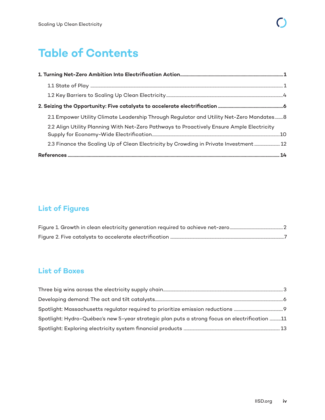## **Table of Contents**

| 2.1 Empower Utility Climate Leadership Through Regulator and Utility Net-Zero Mandates 8  |  |
|-------------------------------------------------------------------------------------------|--|
| 2.2 Align Utility Planning With Net-Zero Pathways to Proactively Ensure Ample Electricity |  |
| 2.3 Finance the Scaling Up of Clean Electricity by Crowding in Private Investment 12      |  |
|                                                                                           |  |

### **List of Figures**

### **List of Boxes**

| Spotlight: Hydro-Québec's new 5-year strategic plan puts a strong focus on electrification 11 |  |
|-----------------------------------------------------------------------------------------------|--|
|                                                                                               |  |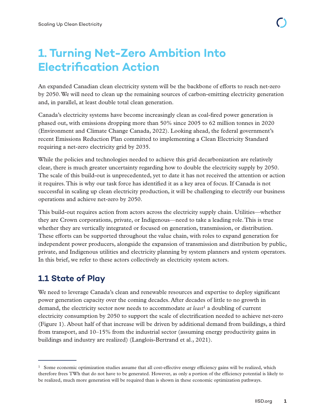## <span id="page-4-0"></span>**1. Turning Net-Zero Ambition Into Electrification Action**

An expanded Canadian clean electricity system will be the backbone of efforts to reach net-zero by 2050. We will need to clean up the remaining sources of carbon-emitting electricity generation and, in parallel, at least double total clean generation.

Canada's electricity systems have become increasingly clean as coal-fired power generation is phased out, with emissions dropping more than 50% since 2005 to 62 million tonnes in 2020 (Environment and Climate Change Canada, 2022). Looking ahead, the federal government's recent Emissions Reduction Plan committed to implementing a Clean Electricity Standard requiring a net-zero electricity grid by 2035.

While the policies and technologies needed to achieve this grid decarbonization are relatively clear, there is much greater uncertainty regarding how to double the electricity supply by 2050. The scale of this build-out is unprecedented, yet to date it has not received the attention or action it requires. This is why our task force has identified it as a key area of focus. If Canada is not successful in scaling up clean electricity production, it will be challenging to electrify our business operations and achieve net-zero by 2050.

This build-out requires action from actors across the electricity supply chain. Utilities—whether they are Crown corporations, private, or Indigenous—need to take a leading role. This is true whether they are vertically integrated or focused on generation, transmission, or distribution. These efforts can be supported throughout the value chain, with roles to expand generation for independent power producers, alongside the expansion of transmission and distribution by public, private, and Indigenous utilities and electricity planning by system planners and system operators. In this brief, we refer to these actors collectively as electricity system actors.

### **1.1 State of Play**

We need to leverage Canada's clean and renewable resources and expertise to deploy significant power generation capacity over the coming decades. After decades of little to no growth in demand, the electricity sector now needs to accommodate *at least*1 a doubling of current electricity consumption by 2050 to support the scale of electrification needed to achieve net-zero (Figure 1). About half of that increase will be driven by additional demand from buildings, a third from transport, and 10–15% from the industrial sector (assuming energy productivity gains in buildings and industry are realized) (Langlois-Bertrand et al., 2021).

<sup>&</sup>lt;sup>1</sup> Some economic optimization studies assume that all cost-effective energy efficiency gains will be realized, which therefore frees TWh that do not have to be generated. However, as only a portion of the efficiency potential is likely to be realized, much more generation will be required than is shown in these economic optimization pathways.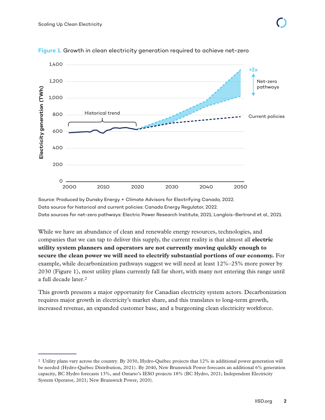

<span id="page-5-0"></span>**Figure 1.** Growth in clean electricity generation required to achieve net-zero

Source: Produced by Dunsky Energy + Climate Advisors for Electrifying Canada, 2022. Data source for historical and current policies: Canada Energy Regulator, 2022. Data sources for net-zero pathways: Electric Power Research Institute, 2021; Langlois-Bertrand et al., 2021.

While we have an abundance of clean and renewable energy resources, technologies, and companies that we can tap to deliver this supply, the current reality is that almost all **electric utility system planners and operators are not currently moving quickly enough to secure the clean power we will need to electrify substantial portions of our economy.** For example, while decarbonization pathways suggest we will need at least 12%–25% more power by 2030 (Figure 1), most utility plans currently fall far short, with many not entering this range until a full decade later.2

This growth presents a major opportunity for Canadian electricity system actors. Decarbonization requires major growth in electricity's market share, and this translates to long-term growth, increased revenue, an expanded customer base, and a burgeoning clean electricity workforce.

<sup>2</sup> Utility plans vary across the country. By 2030, Hydro-Québec projects that 12% in additional power generation will be needed (Hydro-Québec Distribution, 2021). By 2040, New Brunswick Power forecasts an additional 6% generation capacity, BC Hydro forecasts 13%, and Ontario's IESO projects 18% (BC Hydro, 2021; Independent Electricity System Operator, 2021; New Brunswick Power, 2020).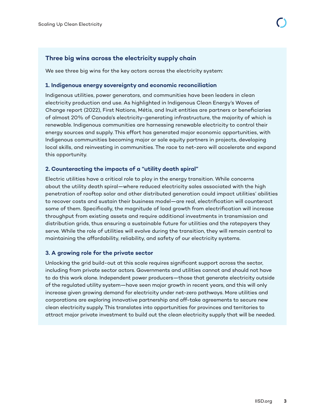#### <span id="page-6-0"></span>**Three big wins across the electricity supply chain**

We see three big wins for the key actors across the electricity system:

#### **1. Indigenous energy sovereignty and economic reconciliation**

Indigenous utilities, power generators, and communities have been leaders in clean electricity production and use. As highlighted in Indigenous Clean Energy's Waves of Change report (2022), First Nations, Métis, and Inuit entities are partners or beneficiaries of almost 20% of Canada's electricity-generating infrastructure, the majority of which is renewable. Indigenous communities are harnessing renewable electricity to control their energy sources and supply. This effort has generated major economic opportunities, with Indigenous communities becoming major or sole equity partners in projects, developing local skills, and reinvesting in communities. The race to net-zero will accelerate and expand this opportunity.

#### **2. Counteracting the impacts of a "utility death spiral"**

Electric utilities have a critical role to play in the energy transition. While concerns about the utility death spiral—where reduced electricity sales associated with the high penetration of rooftop solar and other distributed generation could impact utilities' abilities to recover costs and sustain their business model—are real, electrification will counteract some of them. Specifically, the magnitude of load growth from electrification will increase throughput from existing assets and require additional investments in transmission and distribution grids, thus ensuring a sustainable future for utilities and the ratepayers they serve. While the role of utilities will evolve during the transition, they will remain central to maintaining the affordability, reliability, and safety of our electricity systems.

#### **3. A growing role for the private sector**

Unlocking the grid build-out at this scale requires significant support across the sector, including from private sector actors. Governments and utilities cannot and should not have to do this work alone. Independent power producers—those that generate electricity outside of the regulated utility system—have seen major growth in recent years, and this will only increase given growing demand for electricity under net-zero pathways. More utilities and corporations are exploring innovative partnership and off-take agreements to secure new clean electricity supply. This translates into opportunities for provinces and territories to attract major private investment to build out the clean electricity supply that will be needed.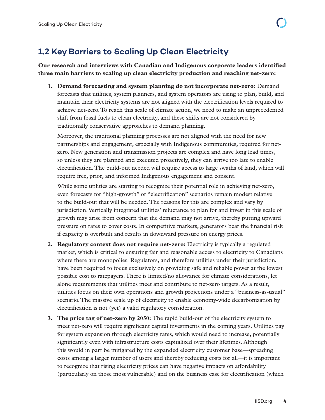## <span id="page-7-0"></span>**1.2 Key Barriers to Scaling Up Clean Electricity**

**Our research and interviews with Canadian and Indigenous corporate leaders identified three main barriers to scaling up clean electricity production and reaching net-zero:**

**1. Demand forecasting and system planning do not incorporate net-zero:** Demand forecasts that utilities, system planners, and system operators are using to plan, build, and maintain their electricity systems are not aligned with the electrification levels required to achieve net-zero. To reach this scale of climate action, we need to make an unprecedented shift from fossil fuels to clean electricity, and these shifts are not considered by traditionally conservative approaches to demand planning.

Moreover, the traditional planning processes are not aligned with the need for new partnerships and engagement, especially with Indigenous communities, required for netzero. New generation and transmission projects are complex and have long lead times, so unless they are planned and executed proactively, they can arrive too late to enable electrification. The build-out needed will require access to large swaths of land, which will require free, prior, and informed Indigenous engagement and consent.

While some utilities are starting to recognize their potential role in achieving net-zero, even forecasts for "high-growth" or "electrification" scenarios remain modest relative to the build-out that will be needed. The reasons for this are complex and vary by jurisdiction. Vertically integrated utilities' reluctance to plan for and invest in this scale of growth may arise from concern that the demand may not arrive, thereby putting upward pressure on rates to cover costs. In competitive markets, generators bear the financial risk if capacity is overbuilt and results in downward pressure on energy prices.

- **2. Regulatory context does not require net-zero:** Electricity is typically a regulated market, which is critical to ensuring fair and reasonable access to electricity to Canadians where there are monopolies. Regulators, and therefore utilities under their jurisdiction, have been required to focus exclusively on providing safe and reliable power at the lowest possible cost to ratepayers. There is limited/no allowance for climate considerations, let alone requirements that utilities meet and contribute to net-zero targets. As a result, utilities focus on their own operations and growth projections under a "business-as-usual" scenario. The massive scale up of electricity to enable economy-wide decarbonization by electrification is not (yet) a valid regulatory consideration.
- **3. The price tag of net-zero by 2050:** The rapid build-out of the electricity system to meet net-zero will require significant capital investments in the coming years. Utilities pay for system expansion through electricity rates, which would need to increase, potentially significantly even with infrastructure costs capitalized over their lifetimes. Although this would in part be mitigated by the expanded electricity customer base—spreading costs among a larger number of users and thereby reducing costs for all—it is important to recognize that rising electricity prices can have negative impacts on affordability (particularly on those most vulnerable) and on the business case for electrification (which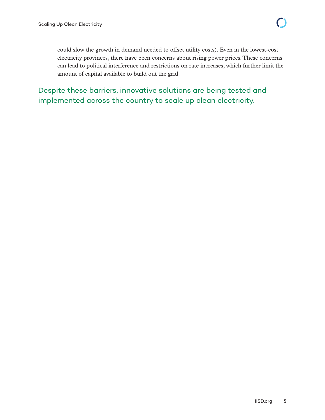could slow the growth in demand needed to offset utility costs). Even in the lowest-cost electricity provinces, there have been concerns about rising power prices. These concerns can lead to political interference and restrictions on rate increases, which further limit the amount of capital available to build out the grid.

Despite these barriers, innovative solutions are being tested and implemented across the country to scale up clean electricity.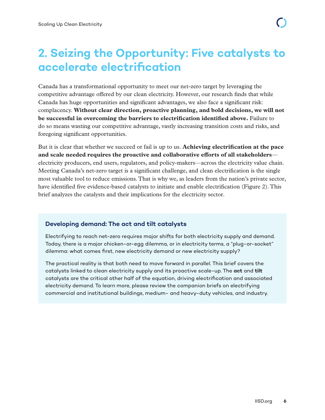## <span id="page-9-0"></span>**2. Seizing the Opportunity: Five catalysts to accelerate electrification**

Canada has a transformational opportunity to meet our net-zero target by leveraging the competitive advantage offered by our clean electricity. However, our research finds that while Canada has huge opportunities and significant advantages, we also face a significant risk: complacency. **Without clear direction, proactive planning, and bold decisions, we will not be successful in overcoming the barriers to electrification identified above.** Failure to do so means wasting our competitive advantage, vastly increasing transition costs and risks, and foregoing significant opportunities.

But it is clear that whether we succeed or fail is up to us. **Achieving electrification at the pace and scale needed requires the proactive and collaborative efforts of all stakeholders** electricity producers, end users, regulators, and policy-makers—across the electricity value chain. Meeting Canada's net-zero target is a significant challenge, and clean electrification is the single most valuable tool to reduce emissions. That is why we, as leaders from the nation's private sector, have identified five evidence-based catalysts to initiate and enable electrification (Figure 2). This brief analyzes the catalysts and their implications for the electricity sector.

#### **Developing demand: The act and tilt catalysts**

Electrifying to reach net-zero requires major shifts for both electricity supply and demand. Today, there is a major chicken-or-egg dilemma, or in electricity terms, a "plug-or-socket" dilemma: what comes first, new electricity demand or new electricity supply?

The practical reality is that both need to move forward in parallel. This brief covers the catalysts linked to clean electricity supply and its proactive scale-up. The **act** and **tilt**  catalysts are the critical other half of the equation, driving electrification and associated electricity demand. To learn more, please review the companion briefs on electrifying commercial and institutional buildings, medium- and heavy-duty vehicles, and industry.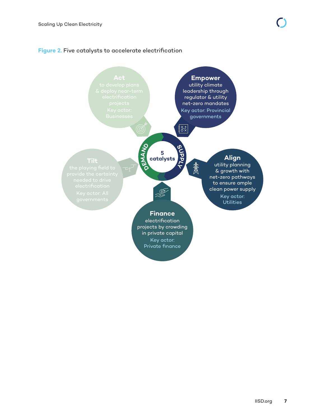#### <span id="page-10-0"></span>**Figure 2.** Five catalysts to accelerate electrification

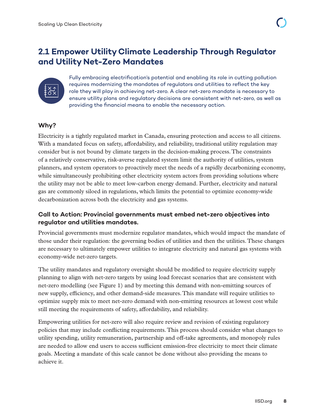### <span id="page-11-0"></span>**2.1 Empower Utility Climate Leadership Through Regulator and Utility Net-Zero Mandates**



Fully embracing electrification's potential and enabling its role in cutting pollution requires modernizing the mandates of regulators and utilities to reflect the key role they will play in achieving net-zero. A clear net-zero mandate is necessary to ensure utility plans and regulatory decisions are consistent with net-zero, as well as providing the financial means to enable the necessary action.

#### **Why?**

Electricity is a tightly regulated market in Canada, ensuring protection and access to all citizens. With a mandated focus on safety, affordability, and reliability, traditional utility regulation may consider but is not bound by climate targets in the decision-making process. The constraints of a relatively conservative, risk-averse regulated system limit the authority of utilities, system planners, and system operators to proactively meet the needs of a rapidly decarbonizing economy, while simultaneously prohibiting other electricity system actors from providing solutions where the utility may not be able to meet low-carbon energy demand. Further, electricity and natural gas are commonly siloed in regulations, which limits the potential to optimize economy-wide decarbonization across both the electricity and gas systems.

#### **Call to Action: Provincial governments must embed net-zero objectives into regulator and utilities mandates.**

Provincial governments must modernize regulator mandates, which would impact the mandate of those under their regulation: the governing bodies of utilities and then the utilities. These changes are necessary to ultimately empower utilities to integrate electricity and natural gas systems with economy-wide net-zero targets.

The utility mandates and regulatory oversight should be modified to require electricity supply planning to align with net-zero targets by using load forecast scenarios that are consistent with net-zero modelling (see Figure 1) and by meeting this demand with non-emitting sources of new supply, efficiency, and other demand-side measures. This mandate will require utilities to optimize supply mix to meet net-zero demand with non-emitting resources at lowest cost while still meeting the requirements of safety, affordability, and reliability.

Empowering utilities for net-zero will also require review and revision of existing regulatory policies that may include conflicting requirements. This process should consider what changes to utility spending, utility remuneration, partnership and off-take agreements, and monopoly rules are needed to allow end users to access sufficient emission-free electricity to meet their climate goals. Meeting a mandate of this scale cannot be done without also providing the means to achieve it.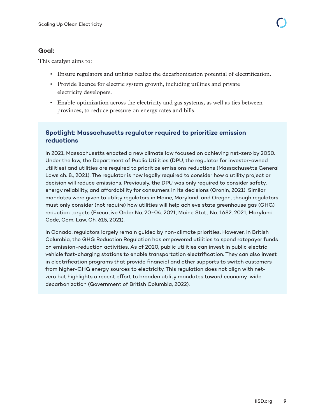#### <span id="page-12-0"></span>**Goal:**

This catalyst aims to:

- Ensure regulators and utilities realize the decarbonization potential of electrification.
- Provide licence for electric system growth, including utilities and private electricity developers.
- Enable optimization across the electricity and gas systems, as well as ties between provinces, to reduce pressure on energy rates and bills.

#### **Spotlight: Massachusetts regulator required to prioritize emission reductions**

In 2021, Massachusetts enacted a new climate law focused on achieving net-zero by 2050. Under the law, the Department of Public Utilities (DPU, the regulator for investor-owned utilities) and utilities are required to prioritize emissions reductions (Massachusetts General Laws ch. 8., 2021). The regulator is now legally required to consider how a utility project or decision will reduce emissions. Previously, the DPU was only required to consider safety, energy reliability, and affordability for consumers in its decisions (Cronin, 2021). Similar mandates were given to utility regulators in Maine, Maryland, and Oregon, though regulators must only consider (not require) how utilities will help achieve state greenhouse gas (GHG) reduction targets (Executive Order No. 20-04. 2021; Maine Stat., No. 1682, 2021; Maryland Code, Com. Law. Ch. 615, 2021).

In Canada, regulators largely remain guided by non-climate priorities. However, in British Columbia, the GHG Reduction Regulation has empowered utilities to spend ratepayer funds on emission-reduction activities. As of 2020, public utilities can invest in public electric vehicle fast-charging stations to enable transportation electrification. They can also invest in electrification programs that provide financial and other supports to switch customers from higher-GHG energy sources to electricity. This regulation does not align with netzero but highlights a recent effort to broaden utility mandates toward economy-wide decarbonization (Government of British Columbia, 2022).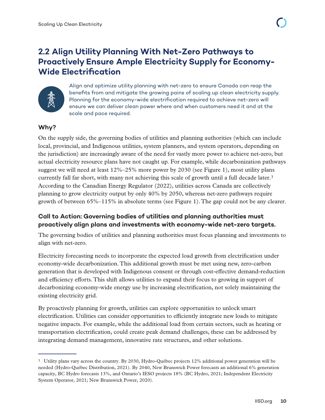### <span id="page-13-0"></span>**2.2 Align Utility Planning With Net-Zero Pathways to Proactively Ensure Ample Electricity Supply for Economy-Wide Electrification**



Align and optimize utility planning with net-zero to ensure Canada can reap the benefits from and mitigate the growing pains of scaling up clean electricity supply. Planning for the economy-wide electrification required to achieve net-zero will ensure we can deliver clean power where and when customers need it and at the scale and pace required.

#### **Why?**

On the supply side, the governing bodies of utilities and planning authorities (which can include local, provincial, and Indigenous utilities, system planners, and system operators, depending on the jurisdiction) are increasingly aware of the need for vastly more power to achieve net-zero, but actual electricity resource plans have not caught up. For example, while decarbonization pathways suggest we will need at least 12%–25% more power by 2030 (see Figure 1), most utility plans currently fall far short, with many not achieving this scale of growth until a full decade later.<sup>3</sup> According to the Canadian Energy Regulator (2022), utilities across Canada are collectively planning to grow electricity output by only 40% by 2050, whereas net-zero pathways require growth of between 65%–115% in absolute terms (see Figure 1). The gap could not be any clearer.

#### **Call to Action: Governing bodies of utilities and planning authorities must proactively align plans and investments with economy-wide net-zero targets.**

The governing bodies of utilities and planning authorities must focus planning and investments to align with net-zero.

Electricity forecasting needs to incorporate the expected load growth from electrification under economy-wide decarbonization. This additional growth must be met using new, zero-carbon generation that is developed with Indigenous consent or through cost-effective demand-reduction and efficiency efforts. This shift allows utilities to expand their focus to growing in support of decarbonizing economy-wide energy use by increasing electrification, not solely maintaining the existing electricity grid.

By proactively planning for growth, utilities can explore opportunities to unlock smart electrification. Utilities can consider opportunities to efficiently integrate new loads to mitigate negative impacts. For example, while the additional load from certain sectors, such as heating or transportation electrification, could create peak demand challenges, these can be addressed by integrating demand management, innovative rate structures, and other solutions.

<sup>3</sup> Utility plans vary across the country. By 2030, Hydro-Québec projects 12% additional power generation will be needed (Hydro-Québec Distribution, 2021). By 2040, New Brunswick Power forecasts an additional 6% generation capacity, BC Hydro forecasts 13%, and Ontario's IESO projects 18% (BC Hydro, 2021; Independent Electricity System Operator, 2021; New Brunswick Power, 2020).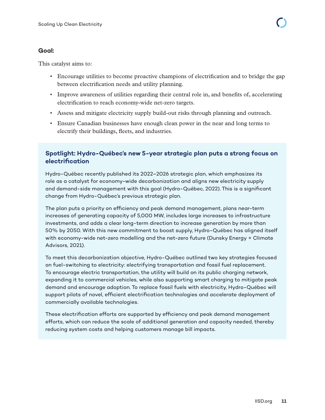#### <span id="page-14-0"></span>**Goal:**

This catalyst aims to:

- Encourage utilities to become proactive champions of electrification and to bridge the gap between electrification needs and utility planning.
- Improve awareness of utilities regarding their central role in, and benefits of, accelerating electrification to reach economy-wide net-zero targets.
- Assess and mitigate electricity supply build-out risks through planning and outreach.
- Ensure Canadian businesses have enough clean power in the near and long terms to electrify their buildings, fleets, and industries.

#### **Spotlight: Hydro-Québec's new 5-year strategic plan puts a strong focus on electrification**

Hydro-Québec recently published its 2022–2026 strategic plan, which emphasizes its role as a catalyst for economy-wide decarbonization and aligns new electricity supply and demand-side management with this goal (Hydro-Québec, 2022). This is a significant change from Hydro-Québec's previous strategic plan.

The plan puts a priority on efficiency and peak demand management, plans near-term increases of generating capacity of 5,000 MW, includes large increases to infrastructure investments, and adds a clear long-term direction to increase generation by more than 50% by 2050. With this new commitment to boost supply, Hydro-Québec has aligned itself with economy-wide net-zero modelling and the net-zero future (Dunsky Energy + Climate Advisors, 2021).

To meet this decarbonization objective, Hydro-Québec outlined two key strategies focused on fuel-switching to electricity: electrifying transportation and fossil fuel replacement. To encourage electric transportation, the utility will build on its public charging network, expanding it to commercial vehicles, while also supporting smart charging to mitigate peak demand and encourage adoption. To replace fossil fuels with electricity, Hydro-Québec will support pilots of novel, efficient electrification technologies and accelerate deployment of commercially available technologies.

These electrification efforts are supported by efficiency and peak demand management efforts, which can reduce the scale of additional generation and capacity needed, thereby reducing system costs and helping customers manage bill impacts.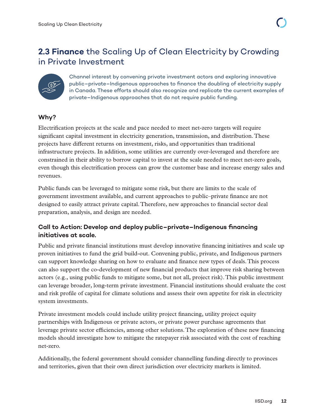<span id="page-15-0"></span>

Channel interest by convening private investment actors and exploring innovative public–private–Indigenous approaches to finance the doubling of electricity supply in Canada. These efforts should also recognize and replicate the current examples of private–Indigenous approaches that do not require public funding.

#### **Why?**

Electrification projects at the scale and pace needed to meet net-zero targets will require significant capital investment in electricity generation, transmission, and distribution. These projects have different returns on investment, risks, and opportunities than traditional infrastructure projects. In addition, some utilities are currently over-leveraged and therefore are constrained in their ability to borrow capital to invest at the scale needed to meet net-zero goals, even though this electrification process can grow the customer base and increase energy sales and revenues.

Public funds can be leveraged to mitigate some risk, but there are limits to the scale of government investment available, and current approaches to public–private finance are not designed to easily attract private capital. Therefore, new approaches to financial sector deal preparation, analysis, and design are needed.

#### **Call to Action: Develop and deploy public–private–Indigenous financing initiatives at scale.**

Public and private financial institutions must develop innovative financing initiatives and scale up proven initiatives to fund the grid build-out. Convening public, private, and Indigenous partners can support knowledge sharing on how to evaluate and finance new types of deals. This process can also support the co-development of new financial products that improve risk sharing between actors (e.g., using public funds to mitigate some, but not all, project risk). This public investment can leverage broader, long-term private investment. Financial institutions should evaluate the cost and risk profile of capital for climate solutions and assess their own appetite for risk in electricity system investments.

Private investment models could include utility project financing, utility project equity partnerships with Indigenous or private actors, or private power purchase agreements that leverage private sector efficiencies, among other solutions. The exploration of these new financing models should investigate how to mitigate the ratepayer risk associated with the cost of reaching net-zero.

Additionally, the federal government should consider channelling funding directly to provinces and territories, given that their own direct jurisdiction over electricity markets is limited.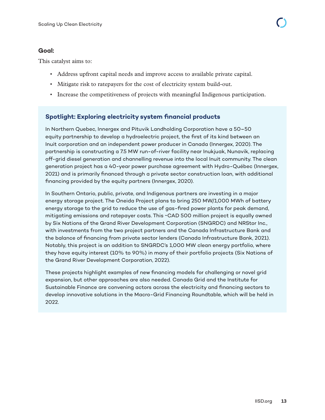#### <span id="page-16-0"></span>**Goal:**

This catalyst aims to:

- Address upfront capital needs and improve access to available private capital.
- Mitigate risk to ratepayers for the cost of electricity system build-out.
- Increase the competitiveness of projects with meaningful Indigenous participation.

#### **Spotlight: Exploring electricity system financial products**

In Northern Quebec, Innergex and Pituvik Landholding Corporation have a 50–50 equity partnership to develop a hydroelectric project, the first of its kind between an Inuit corporation and an independent power producer in Canada (Innergex, 2020). The partnership is constructing a 7.5 MW run-of-river facility near Inukjuak, Nunavik, replacing off-grid diesel generation and channelling revenue into the local Inuit community. The clean generation project has a 40-year power purchase agreement with Hydro-Québec (Innergex, 2021) and is primarily financed through a private sector construction loan, with additional financing provided by the equity partners (Innergex, 2020).

In Southern Ontario, public, private, and Indigenous partners are investing in a major energy storage project. The Oneida Project plans to bring 250 MW/1,000 MWh of battery energy storage to the grid to reduce the use of gas-fired power plants for peak demand, mitigating emissions and ratepayer costs. This ~CAD 500 million project is equally owned by Six Nations of the Grand River Development Corporation (SNGRDC) and NRStor Inc., with investments from the two project partners and the Canada Infrastructure Bank and the balance of financing from private sector lenders (Canada Infrastructure Bank, 2021). Notably, this project is an addition to SNGRDC's 1,000 MW clean energy portfolio, where they have equity interest (10% to 90%) in many of their portfolio projects (Six Nations of the Grand River Development Corporation, 2022).

These projects highlight examples of new financing models for challenging or novel grid expansion, but other approaches are also needed. Canada Grid and the Institute for Sustainable Finance are convening actors across the electricity and financing sectors to develop innovative solutions in the Macro-Grid Financing Roundtable, which will be held in 2022.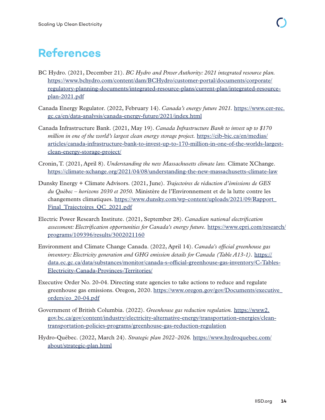## <span id="page-17-0"></span>**References**

- BC Hydro. (2021, December 21). *BC Hydro and Power Authority: 2021 integrated resource plan.* [https://www.bchydro.com/content/dam/BCHydro/customer-portal/documents/corporate/](https://www.bchydro.com/content/dam/BCHydro/customer-portal/documents/corporate/regulatory-planning-documents/integrated-resource-plans/current-plan/integrated-resource-plan-2021.pdf) [regulatory-planning-documents/integrated-resource-plans/current-plan/integrated-resource](https://www.bchydro.com/content/dam/BCHydro/customer-portal/documents/corporate/regulatory-planning-documents/integrated-resource-plans/current-plan/integrated-resource-plan-2021.pdf)[plan-2021.pdf](https://www.bchydro.com/content/dam/BCHydro/customer-portal/documents/corporate/regulatory-planning-documents/integrated-resource-plans/current-plan/integrated-resource-plan-2021.pdf)
- Canada Energy Regulator. (2022, February 14). *Canada's energy future 2021.* [https://www.cer-rec.](https://www.cer-rec.gc.ca/en/data-analysis/canada-energy-future/2021/index.html) [gc.ca/en/data-analysis/canada-energy-future/2021/index.html](https://www.cer-rec.gc.ca/en/data-analysis/canada-energy-future/2021/index.html)
- Canada Infrastructure Bank. (2021, May 19). *Canada Infrastructure Bank to invest up to \$170 million in one of the world's largest clean energy storage project.* [https://cib-bic.ca/en/medias/](https://cib-bic.ca/en/medias/articles/canada-infrastructure-bank-to-invest-up-to-170-million-in-one-of-the-worlds-largest-clean-energy-storage-project/) [articles/canada-infrastructure-bank-to-invest-up-to-170-million-in-one-of-the-worlds-largest](https://cib-bic.ca/en/medias/articles/canada-infrastructure-bank-to-invest-up-to-170-million-in-one-of-the-worlds-largest-clean-energy-storage-project/)[clean-energy-storage-project/](https://cib-bic.ca/en/medias/articles/canada-infrastructure-bank-to-invest-up-to-170-million-in-one-of-the-worlds-largest-clean-energy-storage-project/)
- Cronin, T. (2021, April 8). *Understanding the new Massachusetts climate law.* Climate XChange. <https://climate-xchange.org/2021/04/08/understanding-the-new-massachusetts-climate-law>
- Dunsky Energy + Climate Advisors. (2021, June). *Trajectoires de réduction d'émissions de GES du Québec – horizons 2030 et 2050.* Ministère de l'Environnement et de la lutte contre les changements climatiques. [https://www.dunsky.com/wp-content/uploads/2021/09/Rapport\\_](https://www.dunsky.com/wp-content/uploads/2021/09/Rapport_Final_Trajectoires_QC_2021.pdf) [Final\\_Trajectoires\\_QC\\_2021.pdf](https://www.dunsky.com/wp-content/uploads/2021/09/Rapport_Final_Trajectoires_QC_2021.pdf)
- Electric Power Research Institute. (2021, September 28). *Canadian national electrification assessment: Electrification opportunities for Canada's energy future.* [https://www.epri.com/research/](https://www.epri.com/research/programs/109396/results/3002021160) [programs/109396/results/3002021160](https://www.epri.com/research/programs/109396/results/3002021160)
- Environment and Climate Change Canada. (2022, April 14). *Canada's official greenhouse gas inventory: Electricity generation and GHG emission details for Canada (Table A13-1).* [https://](https://data.ec.gc.ca/data/substances/monitor/canada-s-official-greenhouse-gas-inventory/C-Tables-Electricity-Canada-Provinces-Territories/) [data.ec.gc.ca/data/substances/monitor/canada-s-official-greenhouse-gas-inventory/C-Tables-](https://data.ec.gc.ca/data/substances/monitor/canada-s-official-greenhouse-gas-inventory/C-Tables-Electricity-Canada-Provinces-Territories/)[Electricity-Canada-Provinces-Territories/](https://data.ec.gc.ca/data/substances/monitor/canada-s-official-greenhouse-gas-inventory/C-Tables-Electricity-Canada-Provinces-Territories/)
- Executive Order No. 20-04. Directing state agencies to take actions to reduce and regulate greenhouse gas emissions. Oregon, 2020. [https://www.oregon.gov/gov/Documents/executive\\_](https://www.oregon.gov/gov/Documents/executive_orders/eo_20-04.pdf) [orders/eo\\_20-04.pdf](https://www.oregon.gov/gov/Documents/executive_orders/eo_20-04.pdf)
- Government of British Columbia. (2022). *Greenhouse gas reduction regulation.* [https://www2.](https://www2.gov.bc.ca/gov/content/industry/electricity-alternative-energy/transportation-energies/clean-transportation-policies-programs/greenhouse-gas-reduction-regulation) [gov.bc.ca/gov/content/industry/electricity-alternative-energy/transportation-energies/clean](https://www2.gov.bc.ca/gov/content/industry/electricity-alternative-energy/transportation-energies/clean-transportation-policies-programs/greenhouse-gas-reduction-regulation)[transportation-policies-programs/greenhouse-gas-reduction-regulation](https://www2.gov.bc.ca/gov/content/industry/electricity-alternative-energy/transportation-energies/clean-transportation-policies-programs/greenhouse-gas-reduction-regulation)
- Hydro-Québec. (2022, March 24). *Strategic plan 2022–2026.* [https://www.hydroquebec.com/](https://www.hydroquebec.com/about/strategic-plan.html) [about/strategic-plan.html](https://www.hydroquebec.com/about/strategic-plan.html)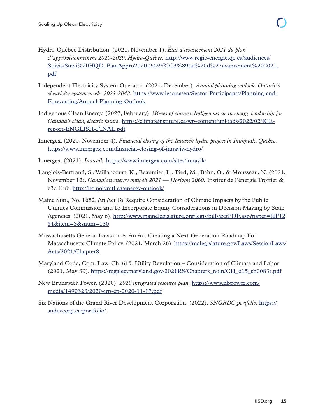- Hydro-Québec Distribution. (2021, November 1). *État d'avancement 2021 du plan d'approvisionnement 2020-2029. Hydro-Québec.* [http://www.regie-energie.qc.ca/audiences/](http://www.regie-energie.qc.ca/audiences/Suivis/Suivi%20HQD_PlanAppro2020-2029/%C3%89tat%20d%27avancement%202021.pdf) [Suivis/Suivi%20HQD\\_PlanAppro2020-2029/%C3%89tat%20d%27avancement%202021.](http://www.regie-energie.qc.ca/audiences/Suivis/Suivi%20HQD_PlanAppro2020-2029/%C3%89tat%20d%27avancement%202021.pdf) [pdf](http://www.regie-energie.qc.ca/audiences/Suivis/Suivi%20HQD_PlanAppro2020-2029/%C3%89tat%20d%27avancement%202021.pdf)
- Independent Electricity System Operator. (2021, December). *Annual planning outlook: Ontario's electricity system needs: 2023-2042.* [https://www.ieso.ca/en/Sector-Participants/Planning-and-](https://www.ieso.ca/en/Sector-Participants/Planning-and-Forecasting/Annual-Planning-Outlook)[Forecasting/Annual-Planning-Outlook](https://www.ieso.ca/en/Sector-Participants/Planning-and-Forecasting/Annual-Planning-Outlook)
- Indigenous Clean Energy. (2022, February). *Waves of change: Indigenous clean energy leadership for Canada's clean, electric future.* [https://climateinstitute.ca/wp-content/uploads/2022/02/ICE](https://climateinstitute.ca/wp-content/uploads/2022/02/ICE-report-ENGLISH-FINAL.pdf)[report-ENGLISH-FINAL.pdf](https://climateinstitute.ca/wp-content/uploads/2022/02/ICE-report-ENGLISH-FINAL.pdf)
- Innergex. (2020, November 4). *Financial closing of the Innavik hydro project in Inukjuak, Quebec.* <https://www.innergex.com/financial-closing-of-innavik-hydro/>
- Innergex. (2021). *Innavik.* <https://www.innergex.com/sites/innavik/>
- Langlois-Bertrand, S., Vaillancourt, K., Beaumier, L., Pied, M., Bahn, O., & Mousseau, N. (2021, November 12). *Canadian energy outlook 2021 — Horizon 2060.* Institut de l'énergie Trottier & e3c Hub. <http://iet.polymtl.ca/energy-outlook/>
- Maine Stat., No. 1682. An Act To Require Consideration of Climate Impacts by the Public Utilities Commission and To Incorporate Equity Considerations in Decision Making by State Agencies. (2021, May 6). [http://www.mainelegislature.org/legis/bills/getPDF.asp?paper=HP12](http://www.mainelegislature.org/legis/bills/getPDF.asp?paper=HP1251&item=3&snum=130) [51&item=3&snum=130](http://www.mainelegislature.org/legis/bills/getPDF.asp?paper=HP1251&item=3&snum=130)
- Massachusetts General Laws ch. 8. An Act Creating a Next-Generation Roadmap For Massachusetts Climate Policy. (2021, March 26). [https://malegislature.gov/Laws/SessionLaws/](https://malegislature.gov/Laws/SessionLaws/Acts/2021/Chapter8) [Acts/2021/Chapter8](https://malegislature.gov/Laws/SessionLaws/Acts/2021/Chapter8)
- Maryland Code, Com. Law. Ch. 615. Utility Regulation Consideration of Climate and Labor. (2021, May 30). [https://mgaleg.maryland.gov/2021RS/Chapters\\_noln/CH\\_615\\_sb0083t.pdf](https://mgaleg.maryland.gov/2021RS/Chapters_noln/CH_615_sb0083t.pdf)
- New Brunswick Power. (2020). *2020 integrated resource plan.* [https://www.nbpower.com/](https://www.nbpower.com/media/1490323/2020-irp-en-2020-11-17.pdf) [media/1490323/2020-irp-en-2020-11-17.pdf](https://www.nbpower.com/media/1490323/2020-irp-en-2020-11-17.pdf)
- Six Nations of the Grand River Development Corporation. (2022). *SNGRDC portfolio.* [https://](https://sndevcorp.ca/portfolio/) [sndevcorp.ca/portfolio/](https://sndevcorp.ca/portfolio/)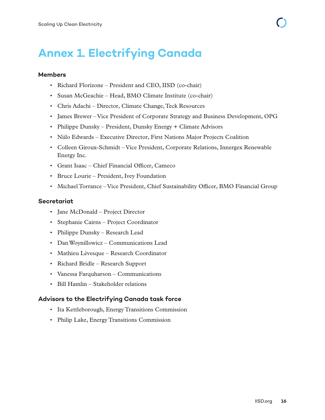## **Annex 1. Electrifying Canada**

#### **Members**

- Richard Florizone President and CEO, IISD (co-chair)
- Susan McGeachie Head, BMO Climate Institute (co-chair)
- Chris Adachi Director, Climate Change, Teck Resources
- James Brewer Vice President of Corporate Strategy and Business Development, OPG
- Philippe Dunsky President, Dunsky Energy + Climate Advisors
- Niilo Edwards Executive Director, First Nations Major Projects Coalition
- Colleen Giroux-Schmidt Vice President, Corporate Relations, Innergex Renewable Energy Inc.
- Grant Isaac Chief Financial Officer, Cameco
- Bruce Lourie President, Ivey Foundation
- Michael Torrance Vice President, Chief Sustainability Officer, BMO Financial Group

#### **Secretariat**

- Jane McDonald Project Director
- Stephanie Cairns Project Coordinator
- Philippe Dunsky Research Lead
- Dan Woynillowicz Communications Lead
- Mathieu Lévesque Research Coordinator
- Richard Bridle Research Support
- Vanessa Farquharson Communications
- Bill Hamlin Stakeholder relations

#### **Advisors to the Electrifying Canada task force**

- Ita Kettleborough, Energy Transitions Commission
- Philip Lake, Energy Transitions Commission